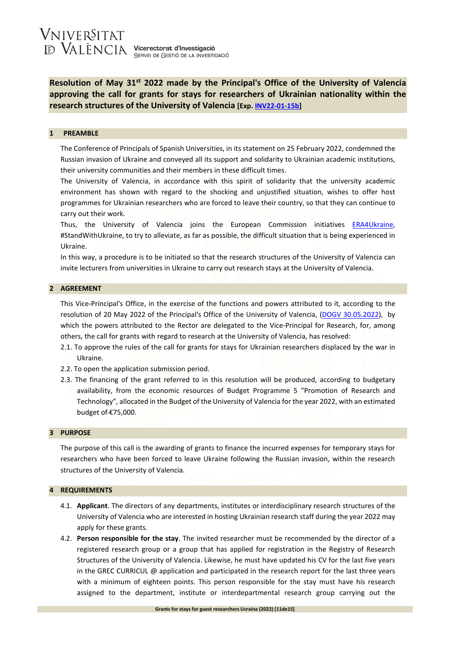**Resolution of May 31st 2022 made by the Principal's Office of the University of Valencia approving the call for grants for stays for researchers of Ukrainian nationality within the research structures of the University of Valencia [Exp[. INV22-01-15b\]](https://webges.uv.es/uvTaeWeb/VerTablonFrontAction.do?filtro=principal&valor=busquedaAvanzada&filtrar=si&grupoNavegacion=0&servicioNavegacion=-4&esHistorico=todos&opcionTipoEdicto=-1&opcionTipoCentro=todos&opcionCentro=-%201&opcionOrganismoExterno=-1&titulo=&numeroExpediente=INV22-01-15b)** 

#### **1 PREAMBLE**

The Conference of Principals of Spanish Universities, in its statement on 25 February 2022, condemned the Russian invasion of Ukraine and conveyed all its support and solidarity to Ukrainian academic institutions, their university communities and their members in these difficult times.

The University of Valencia, in accordance with this spirit of solidarity that the university academic environment has shown with regard to the shocking and unjustified situation, wishes to offer host programmes for Ukrainian researchers who are forced to leave their country, so that they can continue to carry out their work.

Thus, the University of Valencia joins the European Commission initiatives [ERA4Ukraine,](https://euraxess.ec.europa.eu/ukraine) #StandWithUkraine, to try to alleviate, as far as possible, the difficult situation that is being experienced in Ukraine.

In this way, a procedure is to be initiated so that the research structures of the University of Valencia can invite lecturers from universities in Ukraine to carry out research stays at the University of Valencia.

# **2 AGREEMENT**

This Vice-Principal's Office, in the exercise of the functions and powers attributed to it, according to the resolution of 20 May 2022 of the Principal's Office of the University of Valencia, [\(DOGV 30.05.2022\)](https://dogv.gva.es/datos/2022/05/30/pdf/2022_4587.pdf), by which the powers attributed to the Rector are delegated to the Vice-Principal for Research, for, among others, the call for grants with regard to research at the University of Valencia, has resolved:

- 2.1. To approve the rules of the call for grants for stays for Ukrainian researchers displaced by the war in Ukraine.
- 2.2. To open the application submission period.
- 2.3. The financing of the grant referred to in this resolution will be produced, according to budgetary availability, from the economic resources of Budget Programme 5 "Promotion of Research and Technology", allocated in the Budget of the University of Valencia for the year 2022, with an estimated budget of €75,000.

#### **3 PURPOSE**

The purpose of this call is the awarding of grants to finance the incurred expenses for temporary stays for researchers who have been forced to leave Ukraine following the Russian invasion, within the research structures of the University of Valencia.

#### **4 REQUIREMENTS**

- 4.1. **Applicant**. The directors of any departments, institutes or interdisciplinary research structures of the University of Valencia who are interested in hosting Ukrainian research staff during the year 2022 may apply for these grants.
- 4.2. **Person responsible for the stay**. The invited researcher must be recommended by the director of a registered research group or a group that has applied for registration in the Registry of Research Structures of the University of Valencia. Likewise, he must have updated his CV for the last five years in the GREC CURRICUL @ application and participated in the research report for the last three years with a minimum of eighteen points. This person responsible for the stay must have his research assigned to the department, institute or interdepartmental research group carrying out the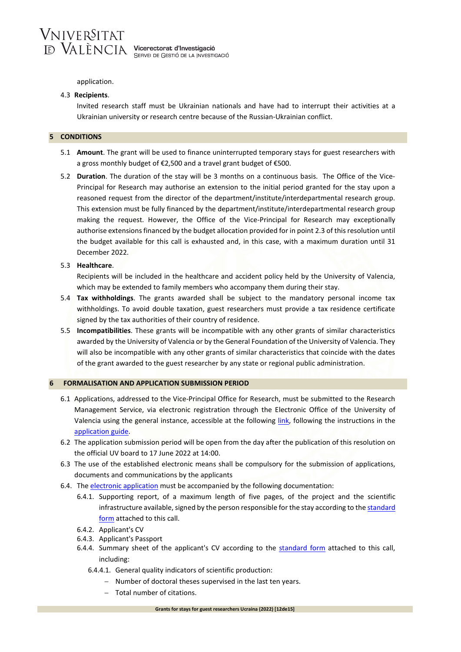

application.

### 4.3 **Recipients**.

Invited research staff must be Ukrainian nationals and have had to interrupt their activities at a Ukrainian university or research centre because of the Russian-Ukrainian conflict.

#### **5 CONDITIONS**

- 5.1 **Amount**. The grant will be used to finance uninterrupted temporary stays for guest researchers with a gross monthly budget of €2,500 and a travel grant budget of €500.
- 5.2 **Duration**. The duration of the stay will be 3 months on a continuous basis. The Office of the Vice-Principal for Research may authorise an extension to the initial period granted for the stay upon a reasoned request from the director of the department/institute/interdepartmental research group. This extension must be fully financed by the department/institute/interdepartmental research group making the request. However, the Office of the Vice-Principal for Research may exceptionally authorise extensions financed by the budget allocation provided for in point 2.3 of this resolution until the budget available for this call is exhausted and, in this case, with a maximum duration until 31 December 2022.

#### 5.3 **Healthcare**.

Recipients will be included in the healthcare and accident policy held by the University of Valencia, which may be extended to family members who accompany them during their stay.

- 5.4 **Tax withholdings**. The grants awarded shall be subject to the mandatory personal income tax withholdings. To avoid double taxation, guest researchers must provide a tax residence certificate signed by the tax authorities of their country of residence.
- 5.5 **Incompatibilities**. These grants will be incompatible with any other grants of similar characteristics awarded by the University of Valencia or by the General Foundation of the University of Valencia. They will also be incompatible with any other grants of similar characteristics that coincide with the dates of the grant awarded to the guest researcher by any state or regional public administration.

### **6 FORMALISATION AND APPLICATION SUBMISSION PERIOD**

- 6.1 Applications, addressed to the Vice-Principal Office for Research, must be submitted to the Research Management Service, via electronic registration through the Electronic Office of the University of Valencia using the general instance, accessible at the following [link,](https://webges.uv.es/uvEntreuWeb/menu.jsp?idtramite=EXPSOLP2U) following the instructions in the [application guide.](https://www.uv.es/serinves/docs/vi_2022/epc_ucr_guia_en.pdf)
- 6.2 The application submission period will be open from the day after the publication of this resolution on the official UV board to 17 June 2022 at 14:00.
- 6.3 The use of the established electronic means shall be compulsory for the submission of applications, documents and communications by the applicants
- 6.4. The [electronic application](https://www.uv.es/serinves/docs/vi_2022/epc_ucr_solicit.pdf) must be accompanied by the following documentation:
	- 6.4.1. Supporting report, of a maximum length of five pages, of the project and the scientific infrastructure available, signed by the person responsible for the stay according to the standard [form](https://www.uv.es/serinves/docs/vi_2022/epc_ucr_mem_en.pdf) attached to this call.
	- 6.4.2. Applicant's CV
	- 6.4.3. Applicant's Passport
	- 6.4.4. Summary sheet of the applicant's CV according to the [standard form](https://www.uv.es/serinves/docs/vi_2022/epc_ucr_cv_en.pdf) attached to this call, including:
		- 6.4.4.1. General quality indicators of scientific production:
			- − Number of doctoral theses supervised in the last ten years.
			- − Total number of citations.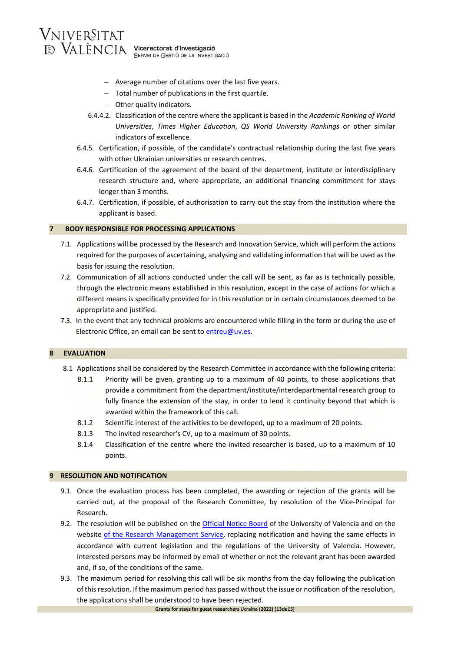- − Average number of citations over the last five years.
- − Total number of publications in the first quartile.
- − Other quality indicators.
- 6.4.4.2. Classification of the centre where the applicant is based in the *Academic Ranking of World Universities*, *Times Higher Education*, *QS World University Rankings* or other similar indicators of excellence.
- 6.4.5. Certification, if possible, of the candidate's contractual relationship during the last five years with other Ukrainian universities or research centres.
- 6.4.6. Certification of the agreement of the board of the department, institute or interdisciplinary research structure and, where appropriate, an additional financing commitment for stays longer than 3 months.
- 6.4.7. Certification, if possible, of authorisation to carry out the stay from the institution where the applicant is based.

# **7 BODY RESPONSIBLE FOR PROCESSING APPLICATIONS**

- 7.1. Applications will be processed by the Research and Innovation Service, which will perform the actions required for the purposes of ascertaining, analysing and validating information that will be used as the basis for issuing the resolution.
- 7.2. Communication of all actions conducted under the call will be sent, as far as is technically possible, through the electronic means established in this resolution, except in the case of actions for which a different means is specifically provided for in this resolution or in certain circumstances deemed to be appropriate and justified.
- 7.3. In the event that any technical problems are encountered while filling in the form or during the use of Electronic Office, an email can be sent to [entreu@uv.es.](mailto:entreu@uv.es)

# **8 EVALUATION**

- 8.1 Applications shall be considered by the Research Committee in accordance with the following criteria:
	- 8.1.1 Priority will be given, granting up to a maximum of 40 points, to those applications that provide a commitment from the department/institute/interdepartmental research group to fully finance the extension of the stay, in order to lend it continuity beyond that which is awarded within the framework of this call.
	- 8.1.2 Scientific interest of the activities to be developed, up to a maximum of 20 points.
	- 8.1.3 The invited researcher's CV, up to a maximum of 30 points.
	- 8.1.4 Classification of the centre where the invited researcher is based, up to a maximum of 10 points.

# **9 RESOLUTION AND NOTIFICATION**

- 9.1. Once the evaluation process has been completed, the awarding or rejection of the grants will be carried out, at the proposal of the Research Committee, by resolution of the Vice-Principal for Research.
- 9.2. The resolution will be published on the *Official Notice Board* of the University of Valencia and on the website [of the Research Management Service,](https://www.uv.es/uvweb/servei-investigacio/ca/financament/programa-ajudes-investigacio-uv/mobilitat-1285928275509.html) replacing notification and having the same effects in accordance with current legislation and the regulations of the University of Valencia. However, interested persons may be informed by email of whether or not the relevant grant has been awarded and, if so, of the conditions of the same.
- 9.3. The maximum period for resolving this call will be six months from the day following the publication of this resolution. If the maximum period has passed without the issue or notification of the resolution, the applications shall be understood to have been rejected.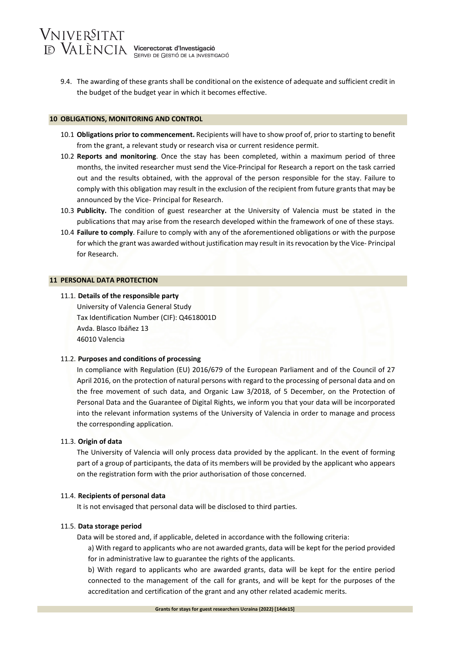9.4. The awarding of these grants shall be conditional on the existence of adequate and sufficient credit in the budget of the budget year in which it becomes effective.

### **10 OBLIGATIONS, MONITORING AND CONTROL**

- 10.1 **Obligations prior to commencement.** Recipients will have to show proof of, prior to starting to benefit from the grant, a relevant study or research visa or current residence permit.
- 10.2 **Reports and monitoring**. Once the stay has been completed, within a maximum period of three months, the invited researcher must send the Vice-Principal for Research a report on the task carried out and the results obtained, with the approval of the person responsible for the stay. Failure to comply with this obligation may result in the exclusion of the recipient from future grants that may be announced by the Vice- Principal for Research.
- 10.3 **Publicity.** The condition of guest researcher at the University of Valencia must be stated in the publications that may arise from the research developed within the framework of one of these stays.
- 10.4 **Failure to comply**. Failure to comply with any of the aforementioned obligations or with the purpose for which the grant was awarded without justification may result in its revocation by the Vice- Principal for Research.

### **11 PERSONAL DATA PROTECTION**

### 11.1. **Details of the responsible party**

University of Valencia General Study Tax Identification Number (CIF): Q4618001D Avda. Blasco Ibáñez 13 46010 Valencia

#### 11.2. **Purposes and conditions of processing**

In compliance with Regulation (EU) 2016/679 of the European Parliament and of the Council of 27 April 2016, on the protection of natural persons with regard to the processing of personal data and on the free movement of such data, and Organic Law 3/2018, of 5 December, on the Protection of Personal Data and the Guarantee of Digital Rights, we inform you that your data will be incorporated into the relevant information systems of the University of Valencia in order to manage and process the corresponding application.

# 11.3. **Origin of data**

The University of Valencia will only process data provided by the applicant. In the event of forming part of a group of participants, the data of its members will be provided by the applicant who appears on the registration form with the prior authorisation of those concerned.

# 11.4. **Recipients of personal data**

It is not envisaged that personal data will be disclosed to third parties.

#### 11.5. **Data storage period**

Data will be stored and, if applicable, deleted in accordance with the following criteria:

a) With regard to applicants who are not awarded grants, data will be kept for the period provided for in administrative law to guarantee the rights of the applicants.

b) With regard to applicants who are awarded grants, data will be kept for the entire period connected to the management of the call for grants, and will be kept for the purposes of the accreditation and certification of the grant and any other related academic merits.